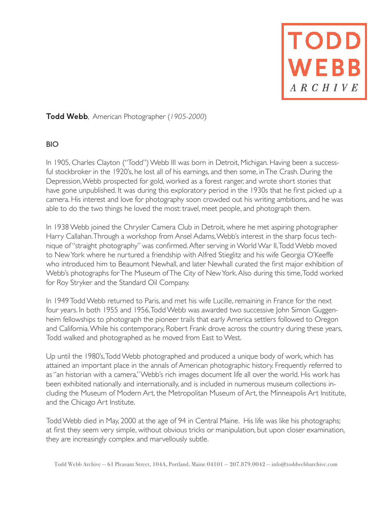**TODD**<br>WEBB

# **Todd Webb**, American Photographer (*1905-2000*)

### BIO

In 1905, Charles Clayton ("Todd") Webb III was born in Detroit, Michigan. Having been a successful stockbroker in the 1920's, he lost all of his earnings, and then some, in The Crash. During the Depression, Webb prospected for gold, worked as a forest ranger, and wrote short stories that have gone unpublished. It was during this exploratory period in the 1930s that he first picked up a camera. His interest and love for photography soon crowded out his writing ambitions, and he was able to do the two things he loved the most: travel, meet people, and photograph them.

In 1938 Webb joined the Chrysler Camera Club in Detroit, where he met aspiring photographer Harry Callahan. Through a workshop from Ansel Adams, Webb's interest in the sharp focus technique of "straight photography" was confirmed. After serving in World War II, Todd Webb moved to New York where he nurtured a friendship with Alfred Stieglitz and his wife Georgia O'Keeffe who introduced him to Beaumont Newhall, and later Newhall curated the first major exhibition of Webb's photographs for The Museum of The City of New York. Also during this time, Todd worked for Roy Stryker and the Standard Oil Company.

In 1949 Todd Webb returned to Paris, and met his wife Lucille, remaining in France for the next four years. In both 1955 and 1956, Todd Webb was awarded two successive John Simon Guggenheim fellowships to photograph the pioneer trails that early America settlers followed to Oregon and California. While his contemporary, Robert Frank drove across the country during these years, Todd walked and photographed as he moved from East to West.

Up until the 1980's, Todd Webb photographed and produced a unique body of work, which has attained an important place in the annals of American photographic history. Frequently referred to as "an historian with a camera," Webb's rich images document life all over the world. His work has been exhibited nationally and internationally, and is included in numerous museum collections including the Museum of Modern Art, the Metropolitan Museum of Art, the Minneapolis Art Institute, and the Chicago Art Institute.

Todd Webb died in May, 2000 at the age of 94 in Central Maine. His life was like his photographs; at first they seem very simple, without obvious tricks or manipulation, but upon closer examination, they are increasingly complex and marvellously subtle.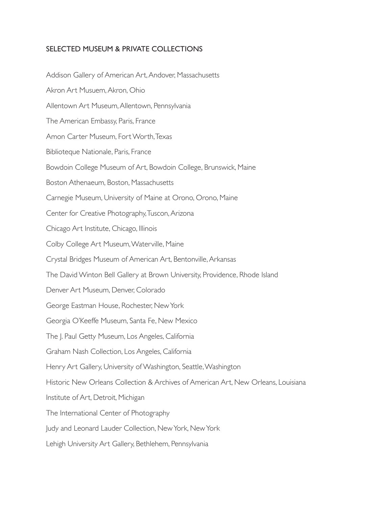### SELECTED MUSEUM & PRIVATE COLLECTIONS

Addison Gallery of American Art, Andover, Massachusetts Akron Art Musuem, Akron, Ohio Allentown Art Museum, Allentown, Pennsylvania The American Embassy, Paris, France Amon Carter Museum, Fort Worth, Texas Biblioteque Nationale, Paris, France Bowdoin College Museum of Art, Bowdoin College, Brunswick, Maine Boston Athenaeum, Boston, Massachusetts Carnegie Museum, University of Maine at Orono, Orono, Maine Center for Creative Photography, Tuscon, Arizona Chicago Art Institute, Chicago, Illinois Colby College Art Museum, Waterville, Maine Crystal Bridges Museum of American Art, Bentonville, Arkansas The David Winton Bell Gallery at Brown University, Providence, Rhode Island Denver Art Museum, Denver, Colorado George Eastman House, Rochester, New York Georgia O'Keeffe Museum, Santa Fe, New Mexico The J. Paul Getty Museum, Los Angeles, California Graham Nash Collection, Los Angeles, California Henry Art Gallery, University of Washington, Seattle, Washington Historic New Orleans Collection & Archives of American Art, New Orleans, Louisiana Institute of Art, Detroit, Michigan The International Center of Photography Judy and Leonard Lauder Collection, New York, New York Lehigh University Art Gallery, Bethlehem, Pennsylvania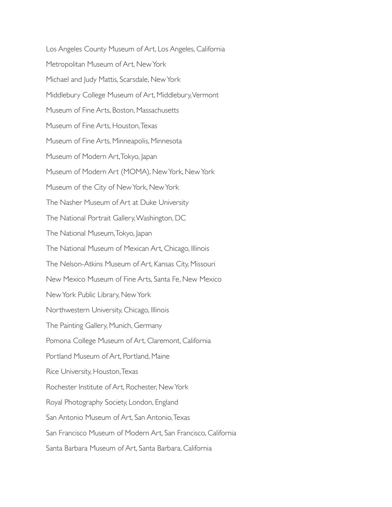Los Angeles County Museum of Art, Los Angeles, California Metropolitan Museum of Art, New York Michael and Judy Mattis, Scarsdale, New York Middlebury College Museum of Art, Middlebury, Vermont Museum of Fine Arts, Boston, Massachusetts Museum of Fine Arts, Houston, Texas Museum of Fine Arts, Minneapolis, Minnesota Museum of Modern Art, Tokyo, Japan Museum of Modern Art (MOMA), New York, New York Museum of the City of New York, New York The Nasher Museum of Art at Duke University The National Portrait Gallery, Washington, DC The National Museum, Tokyo, Japan The National Museum of Mexican Art, Chicago, Illinois The Nelson-Atkins Museum of Art, Kansas City, Missouri New Mexico Museum of Fine Arts, Santa Fe, New Mexico New York Public Library, New York Northwestern University, Chicago, Illinois The Painting Gallery, Munich, Germany Pomona College Museum of Art, Claremont, California Portland Museum of Art, Portland, Maine Rice University, Houston, Texas Rochester Institute of Art, Rochester, New York Royal Photography Society, London, England San Antonio Museum of Art, San Antonio, Texas San Francisco Museum of Modern Art, San Francisco, California Santa Barbara Museum of Art, Santa Barbara, California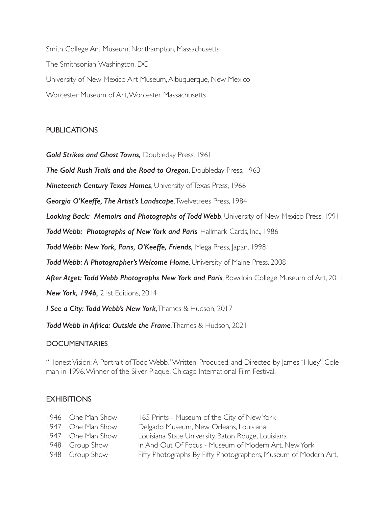Smith College Art Museum, Northampton, Massachusetts The Smithsonian, Washington, DC University of New Mexico Art Museum, Albuquerque, New Mexico Worcester Museum of Art, Worcester, Massachusetts

# **PUBLICATIONS**

*Gold Strikes and Ghost Towns,* Doubleday Press, 1961

*The Gold Rush Trails and the Road to Oregon*, Doubleday Press, 1963

*Nineteenth Century Texas Homes*, University of Texas Press, 1966

*Georgia O'Keeffe, The Artist's Landscape*, Twelvetrees Press, 1984

**Looking Back: Memoirs and Photographs of Todd Webb**, University of New Mexico Press, 1991

*Todd Webb: Photographs of New York and Paris*, Hallmark Cards, Inc., 1986

*Todd Webb: New York, Paris, O'Keeffe, Friends,* Mega Press, Japan, 1998

*Todd Webb: A Photographer's Welcome Home*, University of Maine Press, 2008

After Atget: Todd Webb Photographs New York and Paris, Bowdoin College Museum of Art, 2011

*New York, 1946,* 21st Editions, 2014

*I See a City: Todd Webb's New York*, Thames & Hudson, 2017

*Todd Webb in Africa: Outside the Frame*, Thames & Hudson, 2021

### DOCUMENTARIES

"Honest Vision: A Portrait of Todd Webb." Written, Produced, and Directed by James "Huey" Coleman in 1996. Winner of the Silver Plaque, Chicago International Film Festival.

### **EXHIBITIONS**

| 165 Prints - Museum of the City of New York                                                       |
|---------------------------------------------------------------------------------------------------|
| Delgado Museum, New Orleans, Louisiana                                                            |
| Louisiana State University, Baton Rouge, Louisiana                                                |
| In And Out Of Focus - Museum of Modern Art, New York                                              |
| Fifty Photographs By Fifty Photographers, Museum of Modern Art,                                   |
| 1946 One Man Show<br>1947 One Man Show<br>1947 One Man Show<br>1948 Group Show<br>1948 Group Show |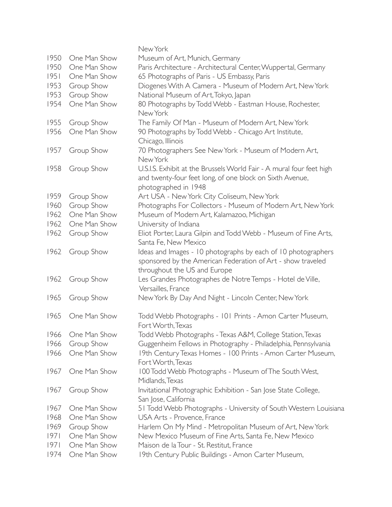|      |              | New York                                                                                                                     |
|------|--------------|------------------------------------------------------------------------------------------------------------------------------|
| 1950 | One Man Show | Museum of Art, Munich, Germany                                                                                               |
| 1950 | One Man Show | Paris Architecture - Architectural Center, Wuppertal, Germany                                                                |
| 1951 | One Man Show | 65 Photographs of Paris - US Embassy, Paris                                                                                  |
| 1953 | Group Show   | Diogenes With A Camera - Museum of Modern Art, New York                                                                      |
| 1953 |              | National Museum of Art, Tokyo, Japan                                                                                         |
|      | Group Show   |                                                                                                                              |
| 1954 | One Man Show | 80 Photographs by Todd Webb - Eastman House, Rochester,<br>New York                                                          |
| 1955 | Group Show   | The Family Of Man - Museum of Modern Art, New York                                                                           |
| 1956 | One Man Show | 90 Photographs by Todd Webb - Chicago Art Institute,<br>Chicago, Illinois                                                    |
| 1957 | Group Show   | 70 Photographers See New York - Museum of Modern Art,<br>New York                                                            |
| 1958 | Group Show   | U.S.I.S. Exhibit at the Brussels World Fair - A mural four feet high                                                         |
|      |              | and twenty-four feet long, of one block on Sixth Avenue,<br>photographed in 1948                                             |
| 1959 | Group Show   | Art USA - New York City Coliseum, New York                                                                                   |
| 1960 | Group Show   | Photographs For Collectors - Museum of Modern Art, New York                                                                  |
| 1962 | One Man Show |                                                                                                                              |
|      |              | Museum of Modern Art, Kalamazoo, Michigan                                                                                    |
| 1962 | One Man Show | University of Indiana                                                                                                        |
| 1962 | Group Show   | Eliot Porter, Laura Gilpin and Todd Webb - Museum of Fine Arts,                                                              |
|      |              | Santa Fe, New Mexico                                                                                                         |
| 1962 | Group Show   | Ideas and Images - 10 photographs by each of 10 photographers<br>sponsored by the American Federation of Art - show traveled |
|      |              | throughout the US and Europe                                                                                                 |
| 1962 | Group Show   | Les Grandes Photographes de Notre Temps - Hotel de Ville,                                                                    |
|      |              | Versailles, France                                                                                                           |
| 1965 | Group Show   | New York By Day And Night - Lincoln Center, New York                                                                         |
| 1965 | One Man Show | Todd Webb Photographs - 101 Prints - Amon Carter Museum,<br>Fort Worth, Texas                                                |
| 1966 | One Man Show | Todd Webb Photographs - Texas A&M, College Station, Texas                                                                    |
| 1966 | Group Show   | Guggenheim Fellows in Photography - Philadelphia, Pennsylvania                                                               |
| 1966 | One Man Show | 19th Century Texas Homes - 100 Prints - Amon Carter Museum,<br>Fort Worth, Texas                                             |
| 1967 | One Man Show | 100 Todd Webb Photographs - Museum of The South West,                                                                        |
|      |              | Midlands, Texas                                                                                                              |
| 1967 | Group Show   | Invitational Photographic Exhibition - San Jose State College,<br>San Jose, California                                       |
| 1967 | One Man Show | 51 Todd Webb Photographs - University of South Western Louisiana                                                             |
| 1968 | One Man Show | USA Arts - Provence, France                                                                                                  |
| 1969 | Group Show   | Harlem On My Mind - Metropolitan Museum of Art, New York                                                                     |
| 97   | One Man Show | New Mexico Museum of Fine Arts, Santa Fe, New Mexico                                                                         |
| 97   | One Man Show | Maison de la Tour - St. Restitut, France                                                                                     |
| 1974 | One Man Show | 19th Century Public Buildings - Amon Carter Museum,                                                                          |
|      |              |                                                                                                                              |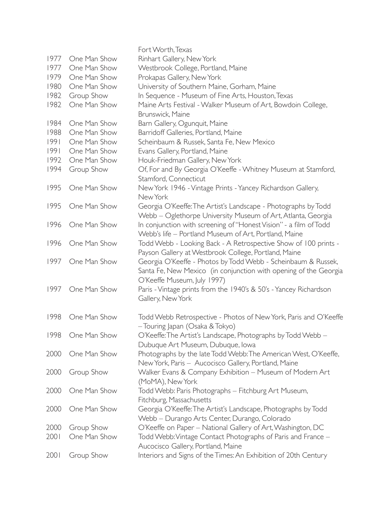|      |              | Fort Worth, Texas                                                 |
|------|--------------|-------------------------------------------------------------------|
| 1977 | One Man Show | Rinhart Gallery, New York                                         |
| 1977 | One Man Show | Westbrook College, Portland, Maine                                |
| 1979 | One Man Show | Prokapas Gallery, New York                                        |
| 1980 | One Man Show | University of Southern Maine, Gorham, Maine                       |
| 1982 | Group Show   | In Sequence - Museum of Fine Arts, Houston, Texas                 |
| 1982 | One Man Show | Maine Arts Festival - Walker Museum of Art, Bowdoin College,      |
|      |              | Brunswick, Maine                                                  |
| 1984 | One Man Show | Barn Gallery, Ogunquit, Maine                                     |
| 1988 | One Man Show | Barridoff Galleries, Portland, Maine                              |
| 99   | One Man Show | Scheinbaum & Russek, Santa Fe, New Mexico                         |
| 1991 | One Man Show | Evans Gallery, Portland, Maine                                    |
| 1992 | One Man Show | Houk-Friedman Gallery, New York                                   |
| 1994 | Group Show   | Of, For and By Georgia O'Keeffe - Whitney Museum at Stamford,     |
|      |              | Stamford, Connecticut                                             |
| 1995 | One Man Show | New York 1946 - Vintage Prints - Yancey Richardson Gallery,       |
|      |              | New York                                                          |
| 1995 | One Man Show | Georgia O'Keeffe: The Artist's Landscape - Photographs by Todd    |
|      |              | Webb - Oglethorpe University Museum of Art, Atlanta, Georgia      |
| 1996 | One Man Show | In conjunction with screening of "Honest Vision" - a film of Todd |
|      |              | Webb's life - Portland Museum of Art, Portland, Maine             |
| 1996 | One Man Show | Todd Webb - Looking Back - A Retrospective Show of 100 prints -   |
|      |              | Payson Gallery at Westbrook College, Portland, Maine              |
| 1997 | One Man Show | Georgia O'Keeffe - Photos by Todd Webb - Scheinbaum & Russek,     |
|      |              | Santa Fe, New Mexico (in conjunction with opening of the Georgia  |
|      |              | O'Keeffe Museum, July 1997)                                       |
| 1997 | One Man Show | Paris - Vintage prints from the 1940's & 50's - Yancey Richardson |
|      |              | Gallery, New York                                                 |
|      |              |                                                                   |
| 1998 | One Man Show | Todd Webb Retrospective - Photos of New York, Paris and O'Keeffe  |
|      |              | -Touring Japan (Osaka & Tokyo)                                    |
| 1998 | One Man Show | O'Keeffe: The Artist's Landscape, Photographs by Todd Webb –      |
|      |              | Dubuque Art Museum, Dubuque, Iowa                                 |
| 2000 | One Man Show | Photographs by the late Todd Webb: The American West, O'Keeffe,   |
|      |              | New York, Paris - Aucocisco Gallery, Portland, Maine              |
| 2000 | Group Show   | Walker Evans & Company Exhibition - Museum of Modern Art          |
|      |              | (MoMA), New York                                                  |
| 2000 | One Man Show | Todd Webb: Paris Photographs - Fitchburg Art Museum,              |
|      |              | Fitchburg, Massachusetts                                          |
| 2000 | One Man Show | Georgia O'Keeffe: The Artist's Landscape, Photographs by Todd     |
|      |              | Webb - Durango Arts Center, Durango, Colorado                     |
| 2000 | Group Show   | O'Keeffe on Paper - National Gallery of Art, Washington, DC       |
| 2001 | One Man Show | Todd Webb: Vintage Contact Photographs of Paris and France -      |
|      |              | Aucocisco Gallery, Portland, Maine                                |
| 2001 | Group Show   | Interiors and Signs of the Times: An Exhibition of 20th Century   |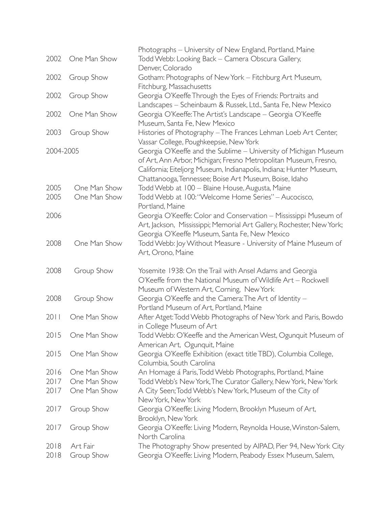|              |                        | Photographs - University of New England, Portland, Maine                                                                                  |
|--------------|------------------------|-------------------------------------------------------------------------------------------------------------------------------------------|
| 2002         | One Man Show           | Todd Webb: Looking Back - Camera Obscura Gallery,                                                                                         |
|              |                        | Denver, Colorado                                                                                                                          |
| 2002         | Group Show             | Gotham: Photographs of New York - Fitchburg Art Museum,                                                                                   |
|              |                        | Fitchburg, Massachusetts                                                                                                                  |
| 2002         | Group Show             | Georgia O'Keeffe Through the Eyes of Friends: Portraits and                                                                               |
|              |                        | Landscapes - Scheinbaum & Russek, Ltd., Santa Fe, New Mexico                                                                              |
| 2002         | One Man Show           | Georgia O'Keeffe: The Artist's Landscape - Georgia O'Keeffe                                                                               |
|              |                        | Museum, Santa Fe, New Mexico                                                                                                              |
| 2003         | Group Show             | Histories of Photography - The Frances Lehman Loeb Art Center,                                                                            |
|              |                        | Vassar College, Poughkeepsie, New York                                                                                                    |
| 2004-2005    |                        | Georgia O'Keeffe and the Sublime - University of Michigan Museum                                                                          |
|              |                        | of Art, Ann Arbor, Michigan; Fresno Metropolitan Museum, Fresno,                                                                          |
|              |                        | California; Eiteljorg Museum, Indianapolis, Indiana; Hunter Museum,                                                                       |
|              |                        | Chattanooga, Tennessee; Boise Art Museum, Boise, Idaho                                                                                    |
| 2005         | One Man Show           | Todd Webb at 100 - Blaine House, Augusta, Maine                                                                                           |
| 2005         | One Man Show           | Todd Webb at 100: "Welcome Home Series" - Aucocisco,                                                                                      |
| 2006         |                        | Portland, Maine                                                                                                                           |
|              |                        | Georgia O'Keeffe: Color and Conservation - Mississippi Museum of<br>Art, Jackson, Mississippi; Memorial Art Gallery, Rochester, New York; |
|              |                        | Georgia O'Keeffe Museum, Santa Fe, New Mexico                                                                                             |
| 2008         | One Man Show           | Todd Webb: Joy Without Measure - University of Maine Museum of                                                                            |
|              |                        | Art, Orono, Maine                                                                                                                         |
|              |                        |                                                                                                                                           |
| 2008         | Group Show             | Yosemite 1938: On the Trail with Ansel Adams and Georgia                                                                                  |
|              |                        | O'Keeffe from the National Museum of Wildlife Art - Rockwell                                                                              |
|              |                        | Museum of Western Art, Corning, New York                                                                                                  |
| 2008         | Group Show             | Georgia O'Keeffe and the Camera: The Art of Identity -                                                                                    |
|              |                        | Portland Museum of Art, Portland, Maine                                                                                                   |
| 2011         | One Man Show           | After Atget: Todd Webb Photographs of New York and Paris, Bowdo                                                                           |
|              |                        | in College Museum of Art                                                                                                                  |
|              | 2015 One Man Show      | Todd Webb: O'Keeffe and the American West, Ogunquit Museum of                                                                             |
|              |                        | American Art, Ogunquit, Maine                                                                                                             |
| 2015         | One Man Show           | Georgia O'Keeffe Exhibition (exact title TBD), Columbia College,                                                                          |
|              |                        | Columbia, South Carolina                                                                                                                  |
| 2016         | One Man Show           | An Homage á Paris, Todd Webb Photographs, Portland, Maine                                                                                 |
| 2017         | One Man Show           | Todd Webb's New York, The Curator Gallery, New York, New York                                                                             |
| 2017         | One Man Show           | A City Seen; Todd Webb's New York, Museum of the City of                                                                                  |
|              |                        | New York, New York                                                                                                                        |
| 2017         | Group Show             | Georgia O'Keeffe: Living Modern, Brooklyn Museum of Art,                                                                                  |
|              |                        | Brooklyn, New York                                                                                                                        |
| 2017         | Group Show             | Georgia O'Keeffe: Living Modern, Reynolda House, Winston-Salem,                                                                           |
|              |                        | North Carolina                                                                                                                            |
| 2018<br>2018 | Art Fair<br>Group Show | The Photography Show presented by AIPAD, Pier 94, New York City                                                                           |
|              |                        | Georgia O'Keeffe: Living Modern, Peabody Essex Museum, Salem,                                                                             |